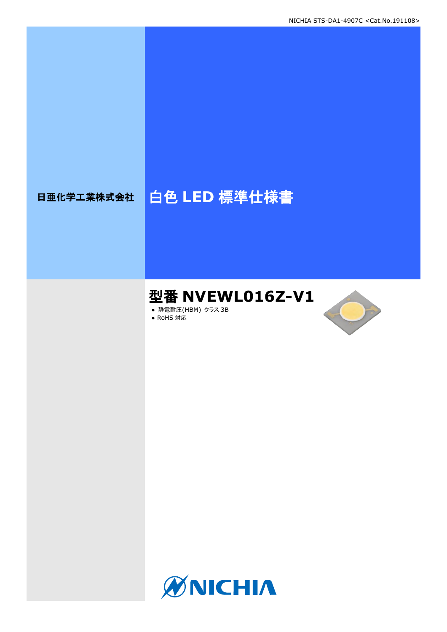# 日亜化学工業株式会社 | 白色 LED 標準仕様書

# 型番 **NVEWL016Z-V1**

**● 静電耐圧(HBM) クラス 3B** ● RoHS 対応



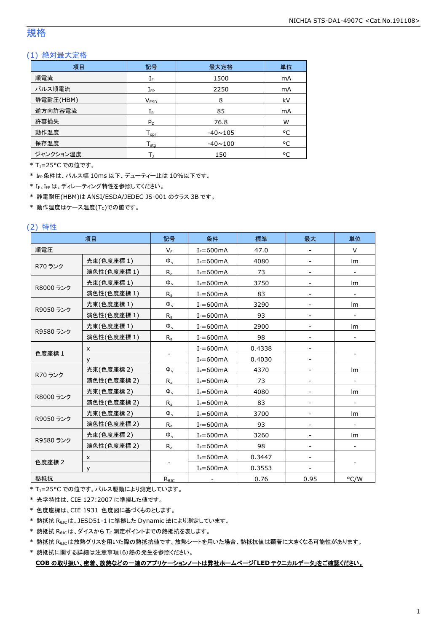#### 規格

#### (1) 絶対最大定格

| 項目        | 記号                         | 最大定格           | 単位 |
|-----------|----------------------------|----------------|----|
| 順電流       | ${\rm I}_{{\rm F}}$        | 1500           | mA |
| パルス順電流    | $I_{\mathsf{FP}}$          | 2250           | mA |
| 静電耐圧(HBM) | V <sub>ESD</sub>           | 8              | kV |
| 逆方向許容電流   | $I_{R}$                    | 85             | mA |
| 許容損失      | $P_D$                      | 76.8           | W  |
| 動作温度      | ${\mathsf T}_{\text{oor}}$ | $-40 \sim 105$ | °C |
| 保存温度      | $T_{\rm stq}$              | $-40 \sim 100$ | °C |
| ジャンクション温度 |                            | 150            | ۰c |

\* TJ=25°C での値です。

\* IFP条件は、パルス幅 10ms 以下、デューティー比は 10%以下です。

\* IF、IFpは、ディレーティング特性を参照してください。

\* 静電耐圧(HBM)は ANSI/ESDA/JEDEC JS-001 のクラス 3B です。

 $*$ 動作温度はケース温度(Tc)での値です。

#### (2) 特性

|           | 項目          | 記号                  | 条件            | 標準     | 最大   | 単位                       |
|-----------|-------------|---------------------|---------------|--------|------|--------------------------|
| 順電圧       |             | $V_F$               | $I_F = 600mA$ | 47.0   |      | V                        |
|           | 光束(色度座標 1)  | $\Phi_{\rm v}$      | $I_F = 600mA$ | 4080   |      | Im                       |
| R70 ランク   | 演色性(色度座標 1) | $R_{a}$             | $I_F = 600mA$ | 73     |      |                          |
|           | 光束(色度座標1)   | $\Phi_{\rm v}$      | $I_F = 600mA$ | 3750   |      | Im                       |
| R8000 ランク | 演色性(色度座標 1) | $R_{a}$             | $I_F = 600mA$ | 83     |      | $\overline{\phantom{a}}$ |
|           | 光束(色度座標1)   | $\Phi_{\rm v}$      | $I_F = 600mA$ | 3290   |      | Im                       |
| R9050 ランク | 演色性(色度座標 1) | $R_{a}$             | $I_F = 600mA$ | 93     |      |                          |
|           | 光束(色度座標1)   | $\Phi_{\rm v}$      | $I_F = 600mA$ | 2900   |      | Im                       |
| R9580 ランク | 演色性(色度座標 1) | $R_{a}$             | $I_F = 600mA$ | 98     |      |                          |
|           | X           |                     | $I_F = 600mA$ | 0.4338 |      |                          |
| 色度座標 1    | v           |                     | $I_F = 600mA$ | 0.4030 |      |                          |
|           | 光束(色度座標 2)  | $\Phi_{\rm v}$      | $I_F = 600mA$ | 4370   |      | Im                       |
| R70 ランク   | 演色性(色度座標 2) | $R_{a}$             | $I_F = 600mA$ | 73     |      | $\overline{\phantom{a}}$ |
|           | 光束(色度座標 2)  | $\Phi_{\rm v}$      | $I_F = 600mA$ | 4080   |      | Im                       |
| R8000 ランク | 演色性(色度座標 2) | $R_{\underline{a}}$ | $I_F = 600mA$ | 83     |      |                          |
|           | 光束(色度座標2)   | $\Phi_{\rm v}$      | $I_F = 600mA$ | 3700   |      | lm                       |
| R9050 ランク | 演色性(色度座標 2) | $R_{a}$             | $I_F = 600mA$ | 93     |      | $\overline{\phantom{a}}$ |
|           | 光束(色度座標 2)  | $\Phi_{\rm v}$      | $I_F = 600mA$ | 3260   |      | lm                       |
| R9580 ランク | 演色性(色度座標 2) | $R_{a}$             | $I_F = 600mA$ | 98     |      |                          |
|           | X           |                     | $I_F = 600mA$ | 0.3447 |      |                          |
| 色度座標 2    | $\vee$      |                     | $I_F = 600mA$ | 0.3553 |      |                          |
| 熱抵抗       |             | $R_{\theta$ JC      |               | 0.76   | 0.95 | °C/W                     |

\* T<sub>J</sub>=25°C での値です。パルス駆動により測定しています。

\* 光学特性は、CIE 127:2007 に準拠した値です。

\* 色度座標は、CIE 1931 色度図に基づくものとします。

\* 熱抵抗 RθJCは、JESD51-1 に準拠した Dynamic 法により測定しています。

 $*$  熱抵抗  $R_{\theta$ JC は、ダイスから Tc 測定ポイントまでの熱抵抗を表します。

\* 熱抵抗 R<sub>0JC</sub>は放熱グリスを用いた際の熱抵抗値です。放熱シートを用いた場合、熱抵抗値は顕著に大きくなる可能性があります。

\* 熱抵抗に関する詳細は注意事項(6)熱の発生を参照ください。

**COB** の取り扱い、密着、放熱などの一連のアプリケーションノートは弊社ホームページ「**LED** テクニカルデータ」をご確認ください。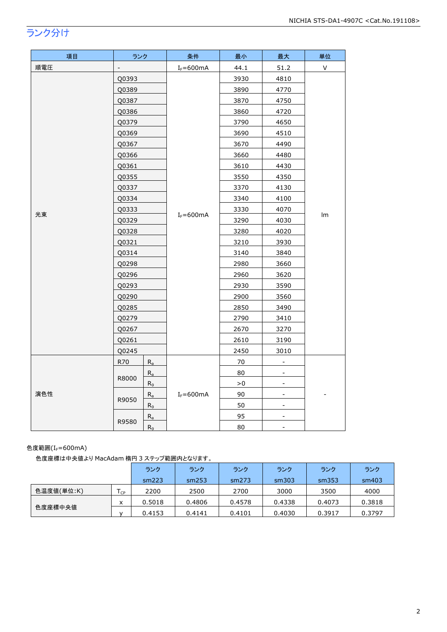## ランク分け

| 項目  | ランク            |         | 条件            | 最小   | 最大                           | 単位           |
|-----|----------------|---------|---------------|------|------------------------------|--------------|
| 順電圧 | $\overline{a}$ |         | $I_F = 600mA$ | 44.1 | 51.2                         | $\mathsf{V}$ |
|     | Q0393          |         |               | 3930 | 4810                         |              |
|     | Q0389          |         |               | 3890 | 4770                         |              |
|     | Q0387          |         |               | 3870 | 4750                         |              |
|     | Q0386          |         |               | 3860 | 4720                         |              |
|     | Q0379          |         |               | 3790 | 4650                         |              |
|     | Q0369          |         |               | 3690 | 4510                         |              |
|     | Q0367          |         |               | 3670 | 4490                         |              |
|     | Q0366          |         |               | 3660 | 4480                         |              |
|     | Q0361          |         |               | 3610 | 4430                         |              |
|     | Q0355          |         |               | 3550 | 4350                         |              |
|     | Q0337          |         |               | 3370 | 4130                         |              |
|     | Q0334          |         | $I_F = 600mA$ | 3340 | 4100                         | Im           |
| 光束  | Q0333          |         |               | 3330 | 4070                         |              |
|     | Q0329          |         |               | 3290 | 4030                         |              |
|     | Q0328          |         |               | 3280 | 4020                         |              |
|     | Q0321          |         |               | 3210 | 3930                         |              |
|     | Q0314          |         |               | 3140 | 3840                         |              |
|     | Q0298          |         |               | 2980 | 3660                         |              |
|     | Q0296          |         |               | 2960 | 3620                         |              |
|     | Q0293          |         |               | 2930 | 3590                         |              |
|     | Q0290          |         |               | 2900 | 3560                         |              |
|     | Q0285          |         |               | 2850 | 3490                         |              |
|     | Q0279          |         |               | 2790 | 3410                         |              |
|     | Q0267          |         |               | 2670 | 3270                         |              |
|     | Q0261          |         |               | 2610 | 3190                         |              |
|     | Q0245          |         |               | 2450 | 3010                         |              |
|     | R70            | $R_a$   |               | 70   |                              |              |
|     | R8000          | $R_{a}$ |               | 80   |                              |              |
|     |                | $R_9$   |               | > 0  | $\overline{\phantom{a}}$     |              |
| 演色性 | R9050          | $R_a$   | $I_F = 600mA$ | 90   | $\qquad \qquad \blacksquare$ |              |
|     |                | $R_9$   |               | 50   | $\overline{\phantom{a}}$     |              |
|     | R9580          | $R_a$   |               | 95   |                              |              |
|     |                | $R_9$   |               | 80   | $\blacksquare$               |              |

#### 色度範囲(I<sub>F</sub>=600mA)

色度座標は中央値より MacAdam 楕円 3 ステップ範囲内となります。

|            |     | ランク    | ランク    | ランク    | ランク    | ランク    | ランク    |
|------------|-----|--------|--------|--------|--------|--------|--------|
|            |     | sm223  | sm253  | sm273  | sm303  | sm353  | sm403  |
| 色温度値(単位:K) | ICP | 2200   | 2500   | 2700   | 3000   | 3500   | 4000   |
|            | x   | 0.5018 | 0.4806 | 0.4578 | 0.4338 | 0.4073 | 0.3818 |
| 色度座標中央値    |     | 0.4153 | 0.4141 | 0.4101 | 0.4030 | 0.3917 | 0.3797 |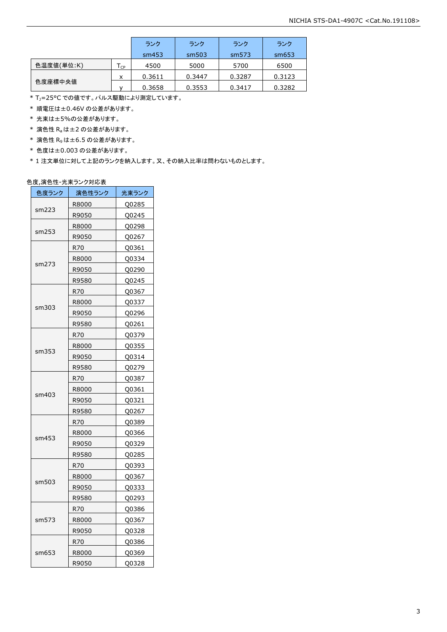|            |                            | ランク    | ランク    | ランク    | ランク    |
|------------|----------------------------|--------|--------|--------|--------|
|            |                            | sm453  | sm503  | sm573  | sm653  |
| 色温度値(単位:K) | $\mathsf{T}_{\mathsf{CP}}$ | 4500   | 5000   | 5700   | 6500   |
|            | x                          | 0.3611 | 0.3447 | 0.3287 | 0.3123 |
| 色度座標中央値    |                            | 0.3658 | 0.3553 | 0.3417 | 0.3282 |

\* T<sub>J</sub>=25°C での値です。パルス駆動により測定しています。

\* 順電圧は±0.46V の公差があります。

\* 光束は±5%の公差があります。

 $*$  演色性  $R_a$ は±2の公差があります。

- \* 演色性 R9は±6.5 の公差があります。
- \* 色度は±0.003 の公差があります。

\* 1 注文単位に対して上記のランクを納入します。又、その納入比率は問わないものとします。

#### 色度,演色性-光束ランク対応表

| 色度ランク | 演色性ランク | 光束ランク |
|-------|--------|-------|
|       | R8000  | Q0285 |
| sm223 | R9050  | Q0245 |
|       | R8000  | Q0298 |
| sm253 | R9050  | Q0267 |
|       | R70    | Q0361 |
|       | R8000  | Q0334 |
| sm273 | R9050  | Q0290 |
|       | R9580  | Q0245 |
|       | R70    | Q0367 |
|       | R8000  | Q0337 |
| sm303 | R9050  | Q0296 |
|       | R9580  | Q0261 |
|       | R70    | Q0379 |
|       | R8000  | Q0355 |
| sm353 | R9050  | Q0314 |
|       | R9580  | Q0279 |
|       | R70    | Q0387 |
|       | R8000  | Q0361 |
| sm403 | R9050  | Q0321 |
|       | R9580  | Q0267 |
|       | R70    | Q0389 |
|       | R8000  | Q0366 |
| sm453 | R9050  | Q0329 |
|       | R9580  | Q0285 |
|       | R70    | Q0393 |
|       | R8000  | Q0367 |
| sm503 | R9050  | Q0333 |
|       | R9580  | Q0293 |
|       | R70    | Q0386 |
| sm573 | R8000  | Q0367 |
|       | R9050  | Q0328 |
|       | R70    | Q0386 |
| sm653 | R8000  | Q0369 |
|       | R9050  | Q0328 |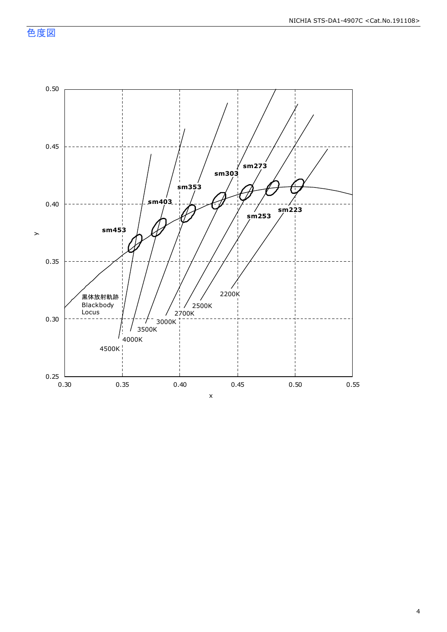色度図

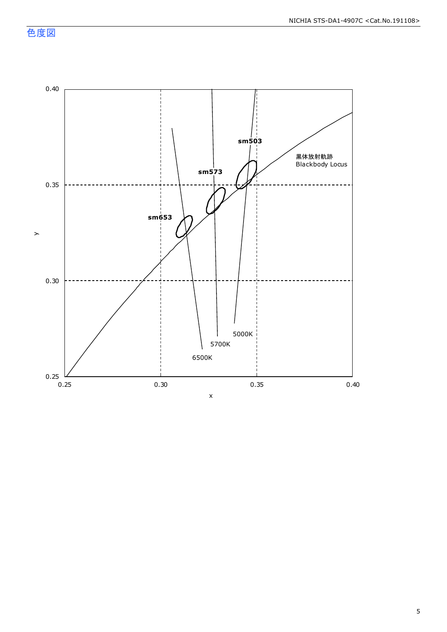色度図

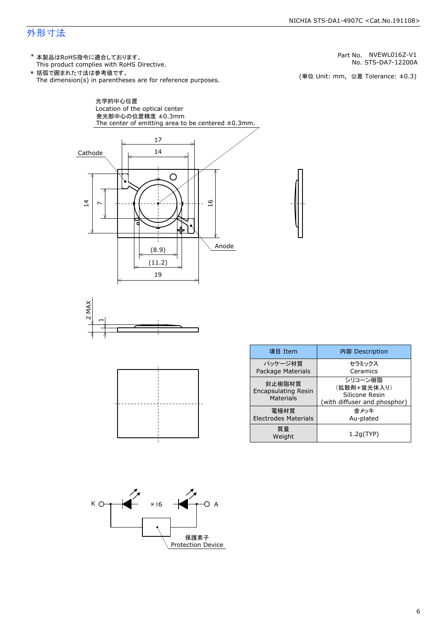#### NICHIA STS-DA1-4907C <Cat.No.191108>

### 外形寸法

(単位 Unit: mm) This product complies with RoHS Directive. \* 本製品はRoHS指令に適合しております。 (単位 Unit: mm, 公差 Tolerance: ±0.3) STS-DA7-12200A NVEWL016Z-V1 The dimension(s) in parentheses are for reference purposes. \* 括弧で囲まれた寸法は参考値です。 No. Part No.







| 項目 Item                                                  | 内容 Description                                                           |
|----------------------------------------------------------|--------------------------------------------------------------------------|
| パッケージ材質<br><b>Package Materials</b>                      | セラミックス<br>Ceramics                                                       |
| 封止樹脂材質<br><b>Encapsulating Resin</b><br><b>Materials</b> | シリコーン樹脂<br>(拡散剤+蛍光体入り)<br>Silicone Resin<br>(with diffuser and phosphor) |
| 電極材質<br><b>Electrodes Materials</b>                      | 金メッキ<br>Au-plated                                                        |
| 質量<br>Weight                                             | 1.2q(TYP)                                                                |

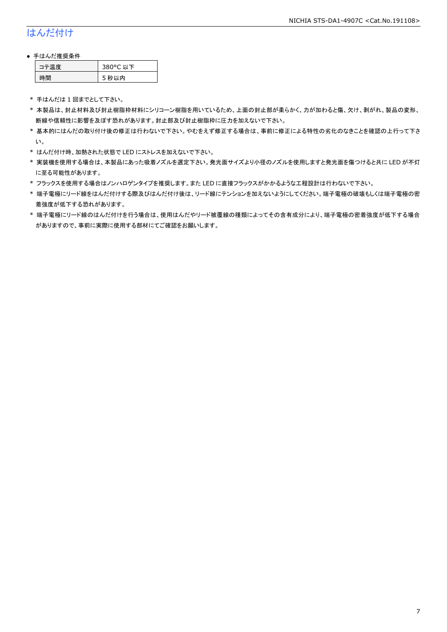## はんだ付け

#### ● 手はんだ推奨条件

| ⊫■唐 | 80°C 以下 |
|-----|---------|
| :間  | 5 秒以内   |

\* 手はんだは 1 回までとして下さい。

- \* 本製品は、封止材料及び封止樹脂枠材料にシリコーン樹脂を用いているため、上面の封止部が柔らかく、力が加わると傷、欠け、剥がれ、製品の変形、 断線や信頼性に影響を及ぼす恐れがあります。封止部及び封止樹脂枠に圧力を加えないで下さい。
- \* 基本的にはんだの取り付け後の修正は行わないで下さい。やむをえず修正する場合は、事前に修正による特性の劣化のなきことを確認の上行って下さ い。
- \* はんだ付け時、加熱された状態で LED にストレスを加えないで下さい。
- \* 実装機を使用する場合は、本製品にあった吸着ノズルを選定下さい。発光面サイズより小径のノズルを使用しますと発光面を傷つけると共に LED が不灯 に至る可能性があります。
- \* フラックスを使用する場合はノンハロゲンタイプを推奨します。また LED に直接フラックスがかかるような工程設計は行わないで下さい。
- \* 端子電極にリード線をはんだ付けする際及びはんだ付け後は、リード線にテンションを加えないようにしてください。端子電極の破壊もしくは端子電極の密 着強度が低下する恐れがあります。
- \* 端子電極にリード線のはんだ付けを行う場合は、使用はんだやリード被覆線の種類によってその含有成分により、端子電極の密着強度が低下する場合 がありますので、事前に実際に使用する部材にてご確認をお願いします。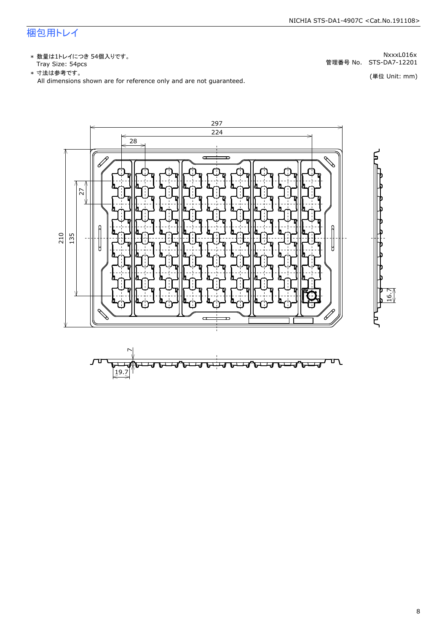## 梱包用トレイ

\* 数量は1トレイにつき 54個入りです。<br>Tray Size: 54pcs

\* 数量は1トレイにつき 54個入りです。<br>Tray Size: 54pcs<br>\* 寸法は参考です。<br>All dimensions shown are for reference only and are not guaranteed. \* づはは はいいい (単位 Unit: mm)



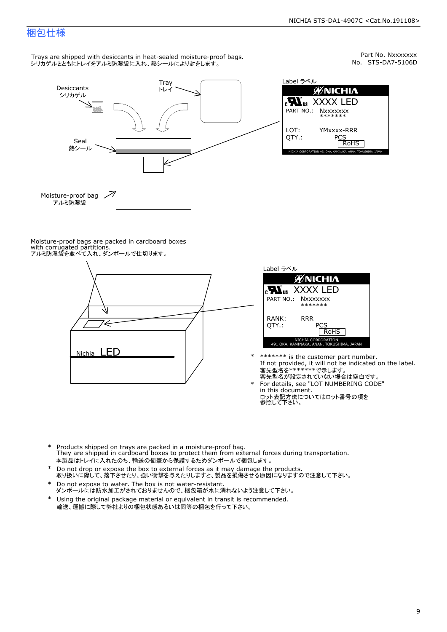### 梱包仕様

Trays are shipped with desiccants in heat-sealed moisture-proof bags. シリカゲルとともにトレイをアルミ防湿袋に入れ、熱シールにより封をします。



Part No. Nxxxxxxx<br>No. STS-DA7-5106D



Moisture-proof bags are packed in cardboard boxes with corrugated partitions. アルミ防湿袋を並べて入れ、ダンボールで仕切ります。





- \* \*\*\*\*\*\*\* is the customer part number.<br>If not provided, it will not be indicated on the label.<br>客先型名が設定されていない場合は空白です。
	- For details, see "LOT NUMBERING CODE"<br>in this document.<br>ロット表記方法についてはロット番号の項を<br>参照して下さい。
- \* Products shipped on trays are packed in a moisture-proof bag.<br>They are shipped in cardboard boxes to protect them from external forces du<br>本製品はトレイに入れたのち、輸送の衝撃から保護するためダンボールで梱包します。<br>\* Do not drop or expose the box to exter Products shipped on trays are packed in a moisture-proof bag. They are shipped in cardboard boxes to protect them from external forces during transportation. 本製品はトレイに入れたのち、輸送の衝撃から保護するためダンボールで梱包します。
- Do not drop or expose the box to external forces as it may damage the products. \*
- 取り扱いに際して、落下させたり、強い衝撃を与えたりしますと、製品を損傷させる原因になりますので注意して下さい。 Do not expose to water. The box is not water-resistant. \*
- ダンボールには防水加工がされておりませんので、梱包箱が水に濡れないよう注意して下さい。 \*
- 輸送、運搬に際して弊社よりの梱包状態あるいは同等の梱包を行って下さい。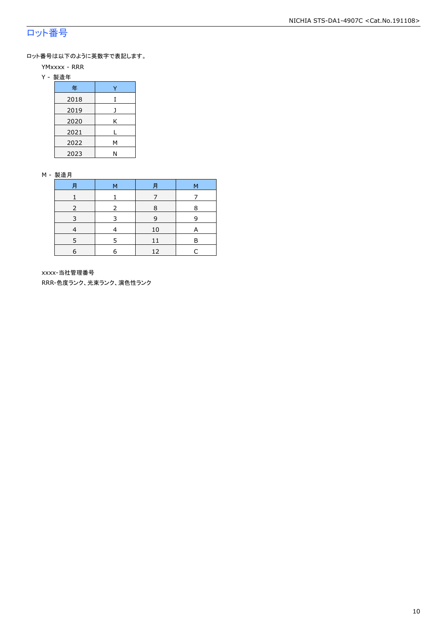## ロット番号

ロット番号は以下のように英数字で表記します。

- YMxxxx RRR
- Y 製造年

| 年    |   |
|------|---|
| 2018 | I |
| 2019 |   |
| 2020 | Κ |
| 2021 | L |
| 2022 | Μ |
| 2023 | N |

#### M - 製造月

| F | ۹<br>м |    | М |
|---|--------|----|---|
|   |        |    |   |
|   | 8      |    | 8 |
| 3 | ર      | 9  | q |
|   |        | 10 | A |
|   | 5      | 11 | P |
| 6 | 6      | 12 |   |

xxxx-当社管理番号

RRR-色度ランク、光束ランク、演色性ランク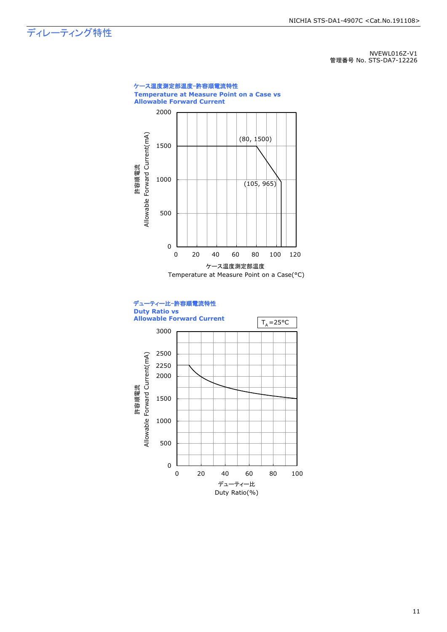ディレーティング特性

NVEWL016Z-V1 管理番号 No. STS-DA7-12226



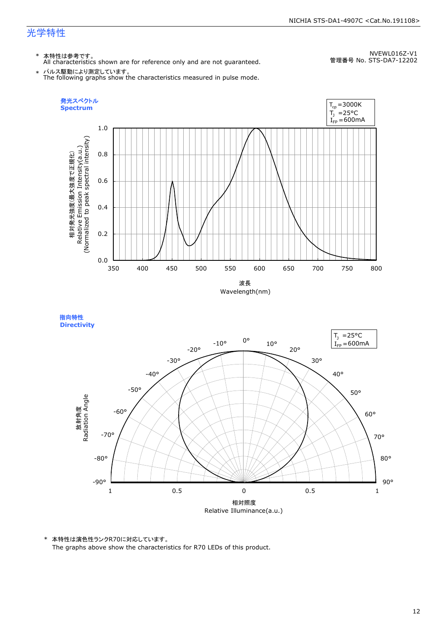\* 本特性は参考です。 All characteristics shown are for reference only and are not guaranteed.

NVEWL016Z-V1 管理番号 No. STS-DA7-12202

\* パルス駆動により測定しています。 The following graphs show the characteristics measured in pulse mode.





\* 本特性は演色性ランクR70に対応しています。

The graphs above show the characteristics for R70 LEDs of this product.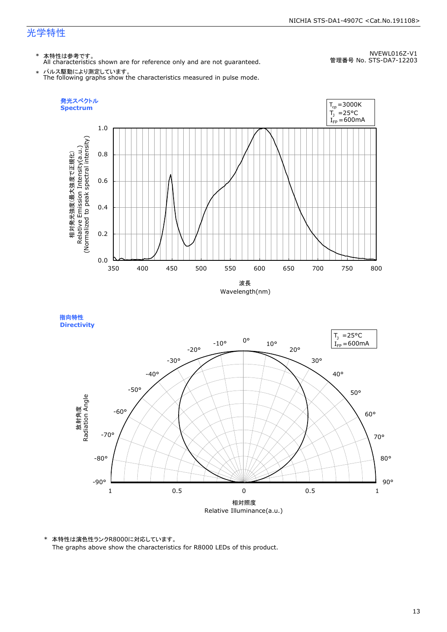\* 本特性は参考です。 All characteristics shown are for reference only and are not guaranteed.

NVEWL016Z-V1 管理番号 No. STS-DA7-12203

\* パルス駆動により測定しています。 The following graphs show the characteristics measured in pulse mode.





\* 本特性は演色性ランクR8000に対応しています。 The graphs above show the characteristics for R8000 LEDs of this product.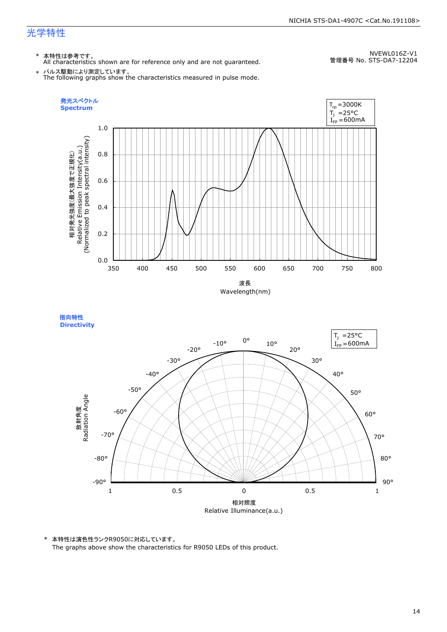\* 本特性は参考です。 All characteristics shown are for reference only and are not guaranteed.

NVEWL016Z-V1 管理番号 No. STS-DA7-12204

\* パルス駆動により測定しています。 The following graphs show the characteristics measured in pulse mode.



指向特性 **Directivity** 



\* 本特性は演色性ランクR9050に対応しています。 The graphs above show the characteristics for R9050 LEDs of this product.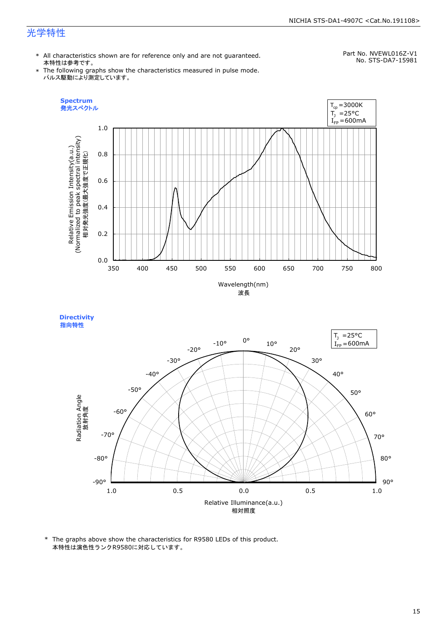#### NICHIA STS-DA1-4907C <Cat.No.191108>

## 光学特性

\* All characteristics shown are for reference only and are not guaranteed. 本特性は参考です。

## Part No. NVEWL016Z-V1

\* The following graphs show the characteristics measured in pulse mode. パルス駆動により測定しています。

No. STS-DA7-15981



**Directivity**  指向特性



\* The graphs above show the characteristics for R9580 LEDs of this product. 本特性は演色性ランクR9580に対応しています。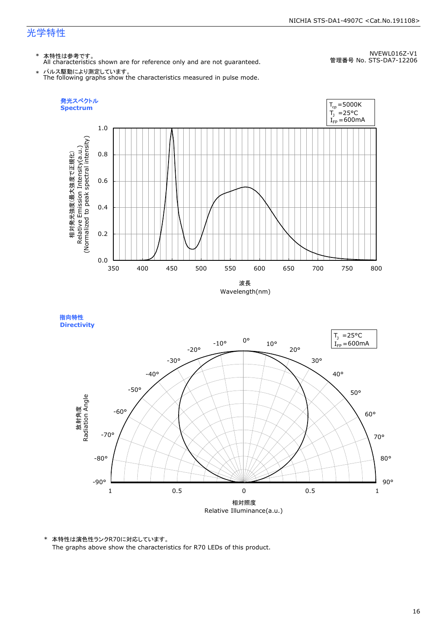指向特性 **Directivity** 

\* 本特性は参考です。 All characteristics shown are for reference only and are not guaranteed.

NVEWL016Z-V1 管理番号 No. STS-DA7-12206

\* パルス駆動により測定しています。 The following graphs show the characteristics measured in pulse mode.



相対照度 Relative Illuminance(a.u.) 90° 80° 70° 60° 50° 40° 30° 20° 10° 0°  $-10$ ° -20° -30° -40° -50° -60° -70° -80° -90° 放射角度<br>Radiation Angle 1 0.5 0 0.5 1  $I_{FP} = 600$ mA  $T_1$  = 25°C

\* 本特性は演色性ランクR70に対応しています。

The graphs above show the characteristics for R70 LEDs of this product.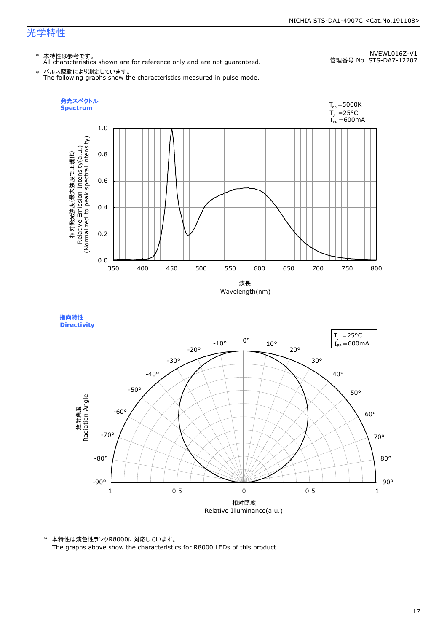\* 本特性は参考です。 All characteristics shown are for reference only and are not guaranteed.

NVEWL016Z-V1 管理番号 No. STS-DA7-12207

\* パルス駆動により測定しています。 The following graphs show the characteristics measured in pulse mode.





\* 本特性は演色性ランクR8000に対応しています。 The graphs above show the characteristics for R8000 LEDs of this product.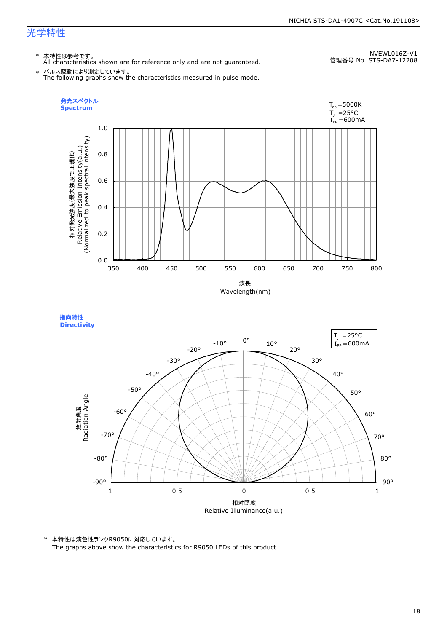\* 本特性は参考です。 All characteristics shown are for reference only and are not guaranteed.

NVEWL016Z-V1 管理番号 No. STS-DA7-12208

\* パルス駆動により測定しています。 The following graphs show the characteristics measured in pulse mode.





\* 本特性は演色性ランクR9050に対応しています。 The graphs above show the characteristics for R9050 LEDs of this product.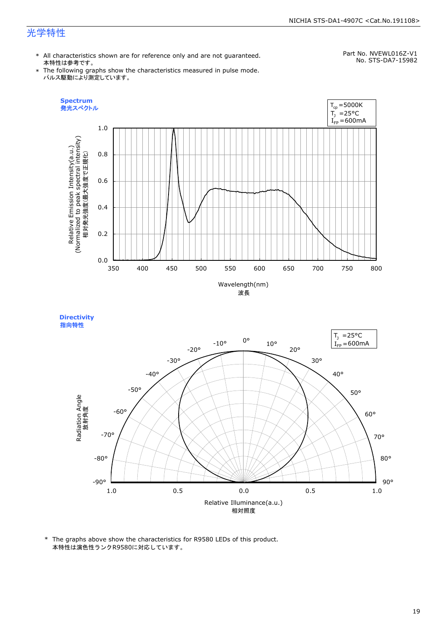#### NICHIA STS-DA1-4907C <Cat.No.191108>

## 光学特性

\* All characteristics shown are for reference only and are not guaranteed. 本特性は参考です。

Part No. NVEWL016Z-V1 No. STS-DA7-15982

\* The following graphs show the characteristics measured in pulse mode. パルス駆動により測定しています。







\* The graphs above show the characteristics for R9580 LEDs of this product. 本特性は演色性ランクR9580に対応しています。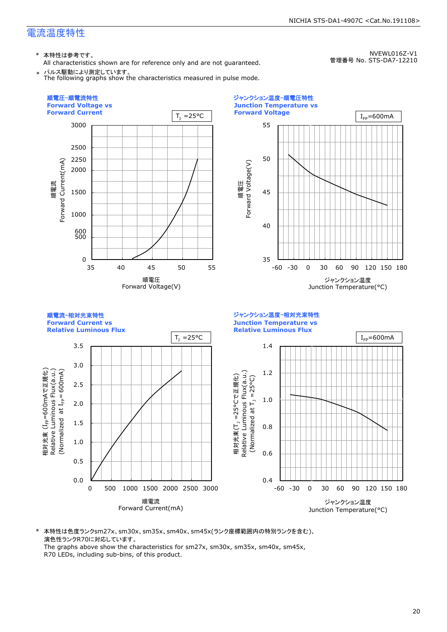\* 本特性は参考です。

All characteristics shown are for reference only and are not guaranteed. パルス駆動により測定しています。

NVEWL016Z-V1 管理番号 No. STS-DA7-12210





\* 本特性は色度ランクsm27x、sm30x、sm35x、sm40x、sm45x(ランク座標範囲内の特別ランクを含む)、 演色性ランクR70に対応しています。 The graphs above show the characteristics for sm27x, sm30x, sm35x, sm40x, sm45x,

R70 LEDs, including sub-bins, of this product.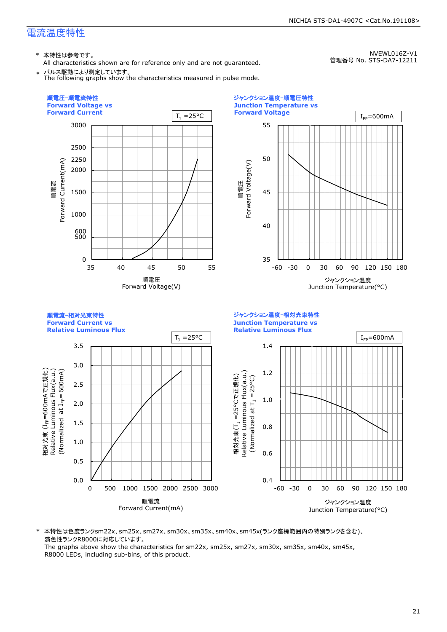\* 本特性は参考です。

All characteristics shown are for reference only and are not guaranteed.

パルス駆動により測定しています。

NVEWL016Z-V1 管理番号 No. STS-DA7-12211



\* 本特性は色度ランクsm22x、sm25x、sm27x、sm30x、sm35x、sm40x、sm45x(ランク座標範囲内の特別ランクを含む)、 演色性ランクR8000に対応しています。

The graphs above show the characteristics for sm22x, sm25x, sm27x, sm30x, sm35x, sm40x, sm45x, R8000 LEDs, including sub-bins, of this product.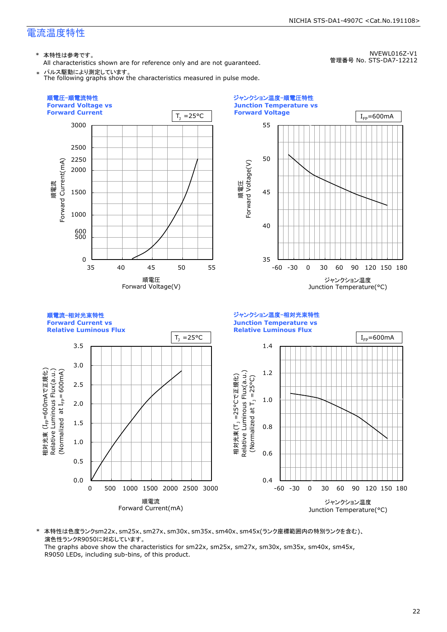\* 本特性は参考です。

All characteristics shown are for reference only and are not guaranteed. パルス駆動により測定しています。

NVEWL016Z-V1 管理番号 No. STS-DA7-12212



\* 本特性は色度ランクsm22x、sm25x、sm27x、sm30x、sm35x、sm40x、sm45x(ランク座標範囲内の特別ランクを含む)、 演色性ランクR9050に対応しています。

The graphs above show the characteristics for sm22x, sm25x, sm27x, sm30x, sm35x, sm40x, sm45x, R9050 LEDs, including sub-bins, of this product.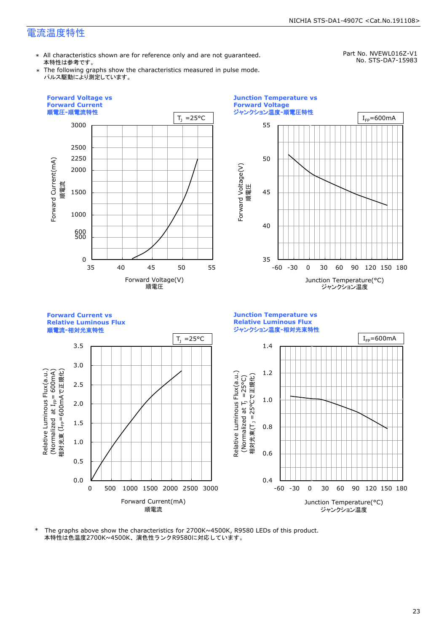\* All characteristics shown are for reference only and are not guaranteed. 本特性は参考です。

Part No. NVEWL016Z-V1 No. STS-DA7-15983

\* The following graphs show the characteristics measured in pulse mode. パルス駆動により測定しています。



本特性は色温度2700K~4500K、演色性ランクR9580に対応しています。 \* The graphs above show the characteristics for 2700K~4500K, R9580 LEDs of this product.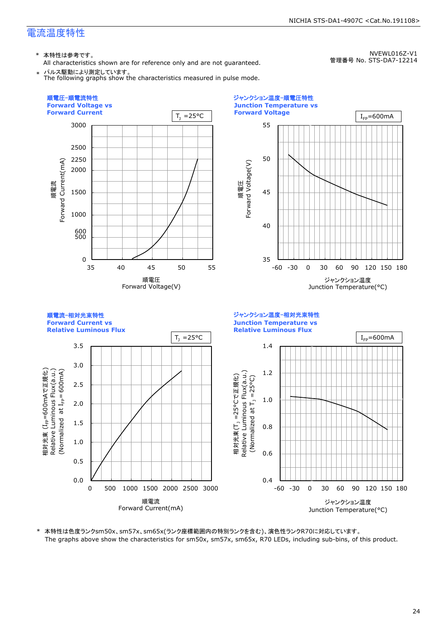\* 本特性は参考です。

All characteristics shown are for reference only and are not guaranteed. \* パルス駆動により測定しています。

NVEWL016Z-V1 管理番号 No. STS-DA7-12214



\* 本特性は色度ランクsm50x、sm57x、sm65x(ランク座標範囲内の特別ランクを含む)、演色性ランクR70に対応しています。 The graphs above show the characteristics for sm50x, sm57x, sm65x, R70 LEDs, including sub-bins, of this product.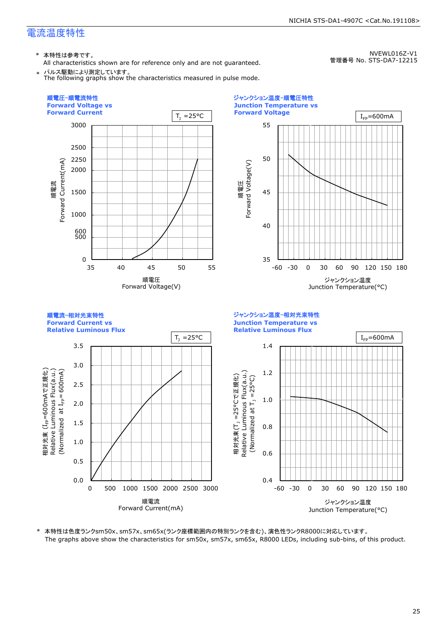NVEWL016Z-V1

\* 本特性は参考です。

All characteristics shown are for reference only and are not guaranteed. \* パルス駆動により測定しています。

管理番号 No. STS-DA7-12215



\* 本特性は色度ランクsm50x、sm57x、sm65x(ランク座標範囲内の特別ランクを含む)、演色性ランクR8000に対応しています。 The graphs above show the characteristics for sm50x, sm57x, sm65x, R8000 LEDs, including sub-bins, of this product.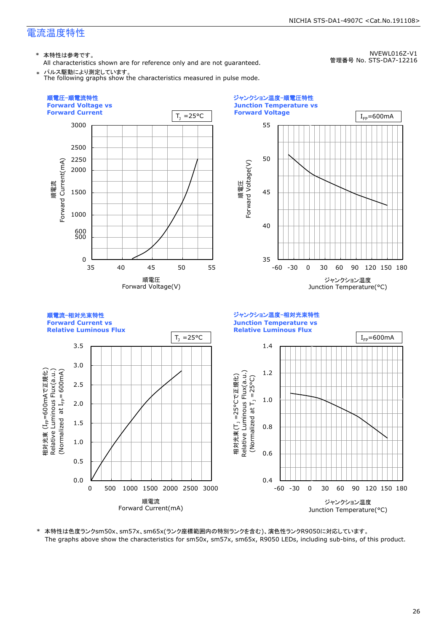NVEWL016Z-V1

\* 本特性は参考です。

All characteristics shown are for reference only and are not guaranteed. \* パルス駆動により測定しています。 The following graphs show the characteristics measured in pulse mode.

管理番号 No. STS-DA7-12216



\* 本特性は色度ランクsm50x、sm57x、sm65x(ランク座標範囲内の特別ランクを含む)、演色性ランクR9050に対応しています。 The graphs above show the characteristics for sm50x, sm57x, sm65x, R9050 LEDs, including sub-bins, of this product.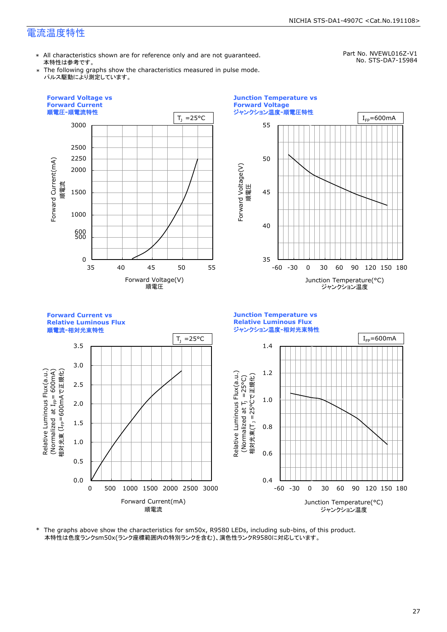\* All characteristics shown are for reference only and are not guaranteed. 本特性は参考です。

Part No. NVEWL016Z-V1 No. STS-DA7-15984

\* The following graphs show the characteristics measured in pulse mode. パルス駆動により測定しています。



\* The graphs above show the characteristics for sm50x, R9580 LEDs, including sub-bins, of this product. 本特性は色度ランクsm50x(ランク座標範囲内の特別ランクを含む)、演色性ランクR9580に対応しています。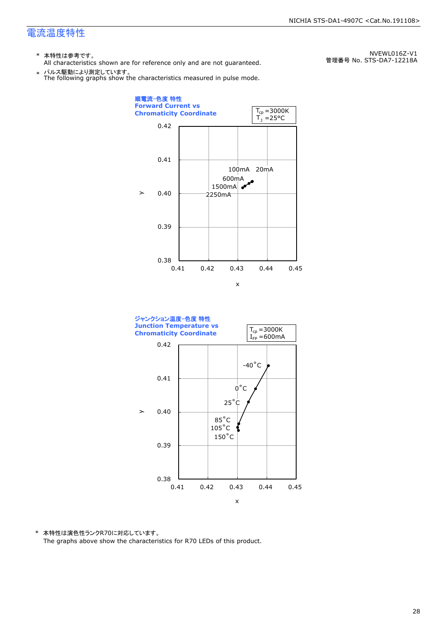- \* 本特性は参考です。
- All characteristics shown are for reference only and are not guaranteed.

\* パルス駆動により測定しています。 The following graphs show the characteristics measured in pulse mode.

NVEWL016Z-V1 管理番号 No. STS-DA7-12218A





\* 本特性は演色性ランクR70に対応しています。 The graphs above show the characteristics for R70 LEDs of this product.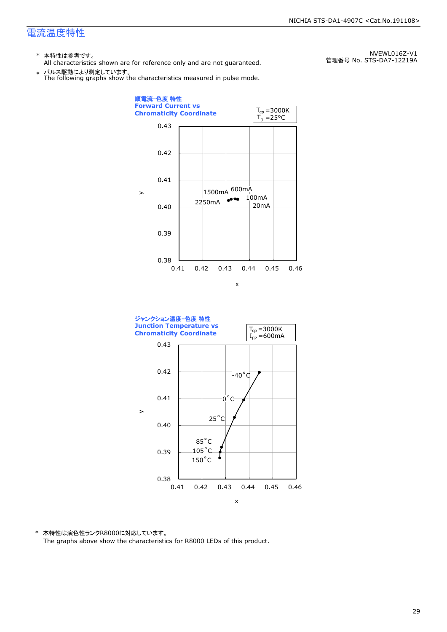- \* 本特性は参考です。
- All characteristics shown are for reference only and are not guaranteed.

\* パルス駆動により測定しています。 The following graphs show the characteristics measured in pulse mode.

順電流-色度 特性 **Forward Current vs**   $T_{cp} = 3000K$ **Chromaticity Coordinate**   $\mathsf{T}_\mathtt{j}$  =25°C 0.43 0.42 0.41 600mA 1500mA  $\geq$ 100mA ەەم 2250mA 20mA 0.40 0.39 0.38 0.41 0.42 0.43 0.44 0.45 0.46 x



\* 本特性は演色性ランクR8000に対応しています。 The graphs above show the characteristics for R8000 LEDs of this product.

NVEWL016Z-V1 管理番号 No. STS-DA7-12219A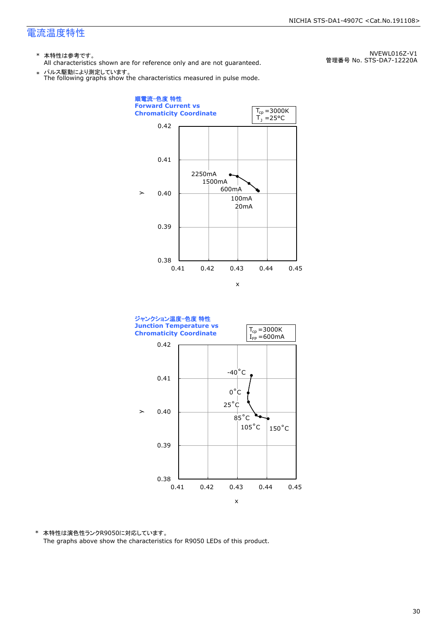- \* 本特性は参考です。
- All characteristics shown are for reference only and are not guaranteed.

\* パルス駆動により測定しています。 The following graphs show the characteristics measured in pulse mode.

0.38 0.39 0.40 0.41 0.42 0.41 0.42 0.43 0.44 0.45 20mA 100mA 600mA 1500mA 2250mA 順電流-色度 特性 **Forward Current vs Chromaticity Coordinate**   $\mathbf{y}$ x  $\mathsf{T}_\textnormal{j}$  =25°C  $T_{cp} = 3000K$ 



\* 本特性は演色性ランクR9050に対応しています。 The graphs above show the characteristics for R9050 LEDs of this product.

NVEWL016Z-V1 管理番号 No. STS-DA7-12220A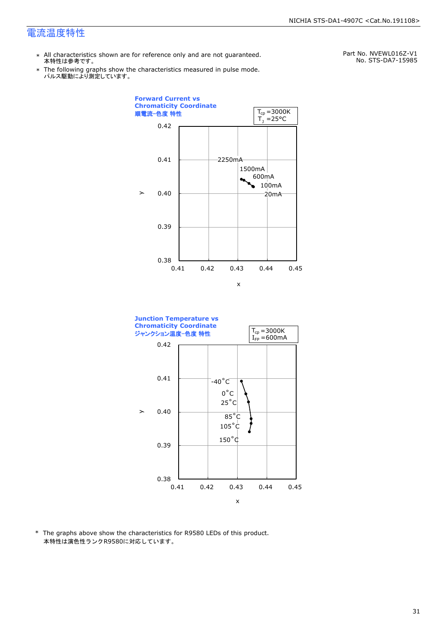- \* All characteristics shown are for reference only and are not guaranteed. 本特性は参考です。
- \* Ine following graphs show tr<br>パルス駆動により測定しています。 The following graphs show the characteristics measured in pulse mode.

Part No. NVEWL016Z-V1 No. STS-DA7-15985





\* The graphs above show the characteristics for R9580 LEDs of this product. 本特性は演色性ランクR9580に対応しています。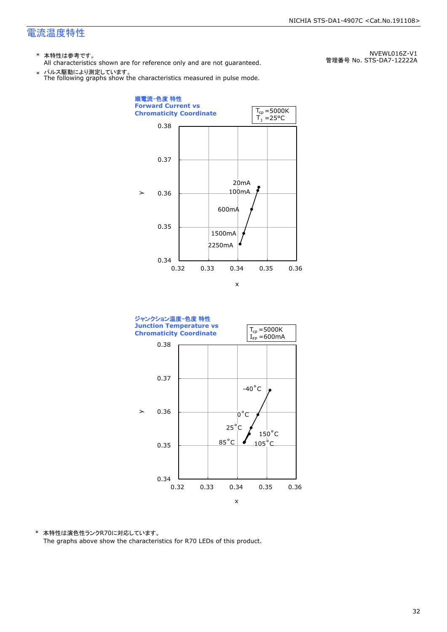- \* 本特性は参考です。
- All characteristics shown are for reference only and are not guaranteed.

\* パルス駆動により測定しています。 The following graphs show the characteristics measured in pulse mode.





\* 本特性は演色性ランクR70に対応しています。 The graphs above show the characteristics for R70 LEDs of this product.

NVEWL016Z-V1 管理番号 No. STS-DA7-12222A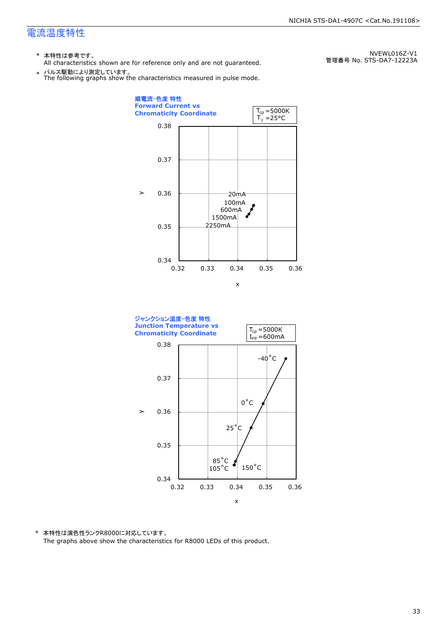- \* 本特性は参考です。
- All characteristics shown are for reference only and are not guaranteed.

\* パルス駆動により測定しています。 The following graphs show the characteristics measured in pulse mode.

0.34 0.35 0.36 0.37 0.38 0.32 0.33 0.34 0.35 0.36  $-20mA$ 600mA 2250mA 100mA 1500mA 順電流-色度 特性 **Forward Current vs Chromaticity Coordinate**   $\geq$ x  $\mathsf{T}_\mathtt{j}$  =25°C  $T_{cp} = 5000K$ 



\* 本特性は演色性ランクR8000に対応しています。 The graphs above show the characteristics for R8000 LEDs of this product.

NVEWL016Z-V1 管理番号 No. STS-DA7-12223A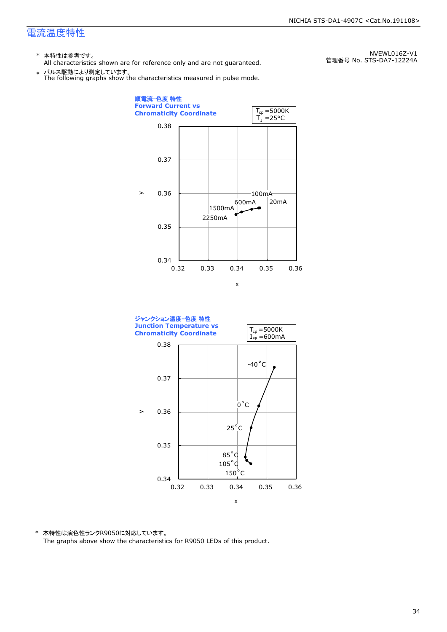- \* 本特性は参考です。
- All characteristics shown are for reference only and are not guaranteed.

\* パルス駆動により測定しています。 The following graphs show the characteristics measured in pulse mode.

NVEWL016Z-V1 管理番号 No. STS-DA7-12224A





\* 本特性は演色性ランクR9050に対応しています。 The graphs above show the characteristics for R9050 LEDs of this product.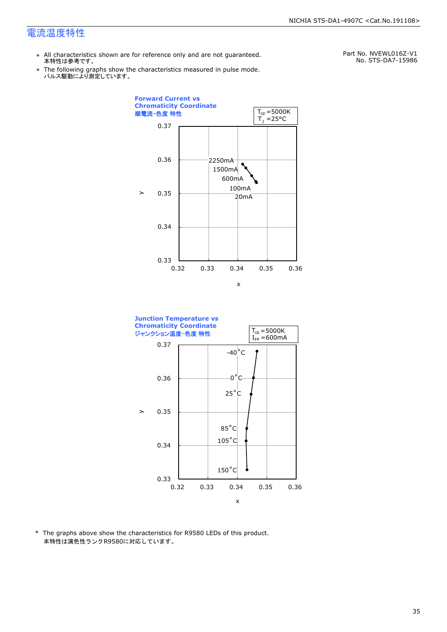\*

- \* All characteristics shown are for reference only and are not guaranteed. 本特性は参考です。
	- パルス駆動により測定しています。 The following graphs show the characteristics measured in pulse mode.

Part No. NVEWL016Z-V1 No. STS-DA7-15986





\* The graphs above show the characteristics for R9580 LEDs of this product. 本特性は演色性ランクR9580に対応しています。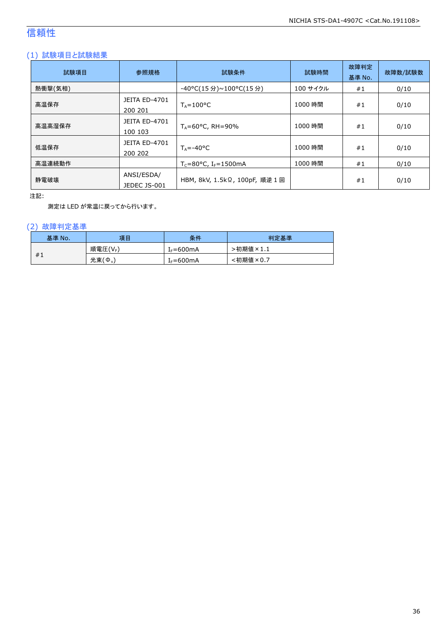## 信頼性

#### (1) 試験項目と試験結果

| 試験項目    | 参照規格                            | 試験条件                                         | 試験時間     | 故障判定<br>基準 No. | 故障数/試験数 |
|---------|---------------------------------|----------------------------------------------|----------|----------------|---------|
| 熱衝撃(気相) |                                 | -40°C(15 分)~100°C(15 分)                      | 100 サイクル | #1             | 0/10    |
| 高温保存    | <b>JEITA ED-4701</b><br>200 201 | $T_A = 100^{\circ}C$                         | 1000 時間  | #1             | 0/10    |
| 高温高湿保存  | <b>JEITA ED-4701</b><br>100 103 | $T_A = 60^{\circ}$ C, RH = 90%               | 1000 時間  | #1             | 0/10    |
| 低温保存    | JEITA ED-4701<br>200 202        | $T_A = -40$ °C                               | 1000 時間  | #1             | 0/10    |
| 高温連続動作  |                                 | $T_c = 80^{\circ}$ C, I <sub>F</sub> =1500mA | 1000 時間  | #1             | 0/10    |
| 静電破壊    | ANSI/ESDA/<br>JEDEC JS-001      | HBM, 8kV, 1.5kΩ, 100pF, 順逆 1 回               |          | #1             | 0/10    |

注記:

測定は LED が常温に戻ってから行います。

#### (2) 故障判定基準

| 基準 No. | 項目                    | 条件                    | 判定基準                             |
|--------|-----------------------|-----------------------|----------------------------------|
|        | 順電圧(VF)               | I <sub>F</sub> =600mA | ·初期値<br>$\sqrt[3]{2} \times 1.1$ |
| #1     | 光束(<br>$\phi_{\rm v}$ | I <sub>F</sub> =600mA | <初期値×0.7                         |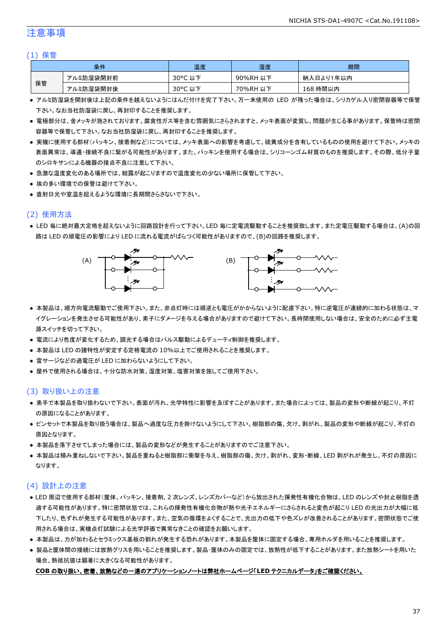#### 注意事項

#### (1) 保管

| 条件 |           | 温度                    | 湿度       | 期間        |
|----|-----------|-----------------------|----------|-----------|
| 保管 | アルミ防湿袋開封前 | $30^{\circ}$ C<br>」以下 | 90%RH 以下 | 納入日より1年以内 |
|    | アルミ防湿袋開封後 | 30°C 以下               | 70%RH 以下 | 168 時間以内  |

- アルミ防湿袋を開封後は上記の条件を越えないようにはんだ付けを完了下さい。万一未使用の LED が残った場合は、シリカゲル入り密閉容器等で保管 下さい。なお当社防湿袋に戻し、再封印することを推奨します。
- 電極部分は、金メッキが施されております。腐食性ガス等を含む雰囲気にさらされますと、メッキ表面が変質し、問題が生じる事があります。保管時は密閉 容器等で保管して下さい。なお当社防湿袋に戻し、再封印することを推奨します。
- 実機に使用する部材(パッキン、接着剤など)については、メッキ表面への影響を考慮して、硫黄成分を含有しているものの使用を避けて下さい。メッキの 表面異常は、導通・接続不良に繋がる可能性があります。また、パッキンを使用する場合は、シリコーンゴム材質のものを推奨します。その際、低分子量 のシロキサンによる機器の接点不良に注意して下さい。
- 急激な温度変化のある場所では、結露が起こりますので温度変化の少ない場所に保管して下さい。
- 埃の多い環境での保管は避けて下さい。
- 直射日光や室温を超えるような環境に長期間さらさないで下さい。

#### (2) 使用方法

● LED 毎に絶対最大定格を超えないように回路設計を行って下さい。LED 毎に定電流駆動することを推奨致します。また定電圧駆動する場合は、(A)の回 路は LED の順電圧の影響により LED に流れる電流がばらつく可能性がありますので、(B)の回路を推奨します。



- 本製品は、順方向電流駆動でご使用下さい。また、非点灯時には順逆とも電圧がかからないように配慮下さい。特に逆電圧が連続的に加わる状態は、マ イグレーションを発生させる可能性があり、素子にダメージを与える場合がありますので避けて下さい。長時間使用しない場合は、安全のために必ず主電 源スイッチを切って下さい。
- 電流により色度が変化するため、調光する場合はパルス駆動によるデューティ制御を推奨します。
- 本製品は LED の諸特性が安定する定格電流の 10%以上でご使用されることを推奨します。
- 雷サージなどの過電圧が LED に加わらないようにして下さい。
- 屋外で使用される場合は、十分な防水対策、湿度対策、塩害対策を施してご使用下さい。

#### (3) 取り扱い上の注意

- 素手で本製品を取り扱わないで下さい。表面が汚れ、光学特性に影響を及ぼすことがあります。また場合によっては、製品の変形や断線が起こり、不灯 の原因になることがあります。
- ピンセットで本製品を取り扱う場合は、製品へ過度な圧力を掛けないようにして下さい。樹脂部の傷、欠け、剥がれ、製品の変形や断線が起こり、不灯の 原因となります。
- 本製品を落下させてしまった場合には、製品の変形などが発生することがありますのでご注意下さい。
- 本製品は積み重ねしないで下さい。製品を重ねると樹脂部に衝撃を与え、樹脂部の傷、欠け、剥がれ、変形・断線、LED 剥がれが発生し、不灯の原因に なります。

#### (4) 設計上の注意

- LED 周辺で使用する部材(筐体、パッキン、接着剤、2 次レンズ、レンズカバーなど)から放出された揮発性有機化合物は、LED のレンズや封止樹脂を透 過する可能性があります。特に密閉状態では、これらの揮発性有機化合物が熱や光子エネルギーにさらされると変色が起こり LED の光出力が大幅に低 下したり、色ずれが発生する可能性があります。また、空気の循環をよくすることで、光出力の低下や色ズレが改善されることがあります。密閉状態でご使 用される場合は、実機点灯試験による光学評価で異常なきことの確認をお願いします。
- 本製品は、力が加わるとセラミックス基板の割れが発生する恐れがあります。本製品を筐体に固定する場合、専用ホルダを用いることを推奨します。
- 製品と筐体間の接続には放熱グリスを用いることを推奨します。製品・筐体のみの固定では、放熱性が低下することがあります。また放熱シートを用いた 場合、熱抵抗値は顕著に大きくなる可能性があります。

#### **COB** の取り扱い、密着、放熱などの一連のアプリケーションノートは弊社ホームページ「**LED** テクニカルデータ」をご確認ください。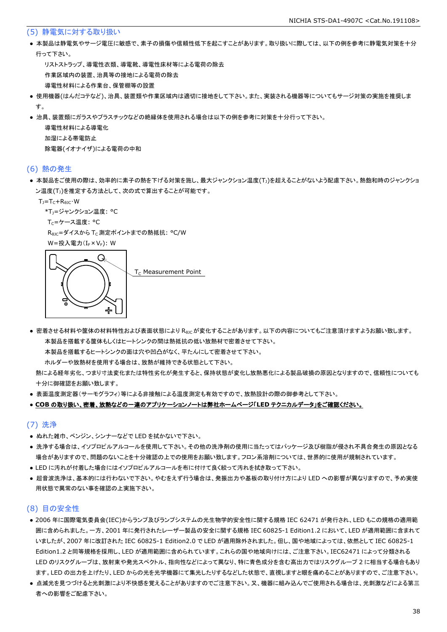#### (5) 静電気に対する取り扱い

● 本製品は静電気やサージ電圧に敏感で、素子の損傷や信頼性低下を起こすことがあります。取り扱いに際しては、以下の例を参考に静電気対策を十分 行って下さい。

 リストストラップ、導電性衣類、導電靴、導電性床材等による電荷の除去 作業区域内の装置、治具等の接地による電荷の除去 導電性材料による作業台、保管棚等の設置

- 使用機器(はんだコテなど)、治具、装置類や作業区域内は適切に接地をして下さい。また、実装される機器等についてもサージ対策の実施を推奨しま す。
- 治具、装置類にガラスやプラスチックなどの絶縁体を使用される場合は以下の例を参考に対策を十分行って下さい。

 導電性材料による導電化 加湿による帯電防止 除電器(イオナイザ)による電荷の中和

#### (6) 熱の発生

● 本製品をご使用の際は、効率的に素子の熱を下げる対策を施し、最大ジャンクション温度(T」)を超えることがないよう配慮下さい。熱飽和時のジャンクショ ン温度(T<sub>J</sub>)を推定する方法として、次の式で算出することが可能です。

 $T_J = T_C + R_{\theta JC} \cdot W$ 

\*T<sub>1</sub>=ジャンクション温度: °C

T<sub>C</sub>=ケース温度: °C

R<sub>0JC</sub>=ダイスから T<sub>C</sub> 測定ポイントまでの熱抵抗: °C/W

 $W = \frac{1}{2} \lambda \left( \frac{1}{2} \right) \times V_F$ ): W



● 密着させる材料や筐体の材料特性および表面状態により R<sub>θIC</sub>が変化することがあります。以下の内容についてもご注意頂けますようお願い致します。 本製品を搭載する筐体もしくはヒートシンクの間は熱抵抗の低い放熱材で密着させて下さい。

本製品を搭載するヒートシンクの面は穴や凹凸がなく、平たんにして密着させて下さい。

ホルダーや放熱材を使用する場合は、放熱が維持できる状態として下さい。

 熱による経年劣化、つまり寸法変化または特性劣化が発生すると、保持状態が変化し放熱悪化による製品破損の原因となりますので、信頼性についても 十分に御確認をお願い致します。

● 表面温度測定器(サーモグラフィ)等による非接触による温度測定も有効ですので、放熱設計の際の御参考として下さい。

#### ● **COB** の取り扱い、密着、放熱などの一連のアプリケーションノートは弊社ホームページ「**LED** テクニカルデータ」をご確認ください。

#### (7) 洗浄

- ぬれた雑巾、ベンジン、シンナーなどで LED を拭かないで下さい。
- 洗浄する場合は、イソプロピルアルコールを使用して下さい。その他の洗浄剤の使用に当たってはパッケージ及び樹脂が侵され不具合発生の原因となる 場合がありますので、問題のないことを十分確認の上での使用をお願い致します。フロン系溶剤については、世界的に使用が規制されています。
- LED に汚れが付着した場合にはイソプロピルアルコールを布に付けて良く絞って汚れを拭き取って下さい。
- 超音波洗浄は、基本的には行わないで下さい。やむをえず行う場合は、発振出力や基板の取り付け方により LED への影響が異なりますので、予め実使 用状態で異常のない事を確認の上実施下さい。

#### (8) 目の安全性

- 2006 年に国際電気委員会(IEC)からランプ及びランプシステムの光生物学的安全性に関する規格 IEC 62471 が発行され、LED もこの規格の適用範 囲に含められました。一方、2001 年に発行されたレーザー製品の安全に関する規格 IEC 60825-1 Edition1.2 において、LED が適用範囲に含まれて いましたが、2007 年に改訂された IEC 60825-1 Edition2.0 で LED が適用除外されました。但し、国や地域によっては、依然として IEC 60825-1 Edition1.2 と同等規格を採用し、LED が適用範囲に含められています。これらの国や地域向けには、ご注意下さい。IEC62471 によって分類される LED のリスクグループは、放射束や発光スペクトル、指向性などによって異なり、特に青色成分を含む高出力ではリスクグループ 2 に相当する場合もあり ます。LED の出力を上げたり、LED からの光を光学機器にて集光したりするなどした状態で、直視しますと眼を痛めることがありますので、ご注意下さい。
- 点滅光を見つづけると光刺激により不快感を覚えることがありますのでご注意下さい。又、機器に組み込んでご使用される場合は、光刺激などによる第三 者への影響をご配慮下さい。